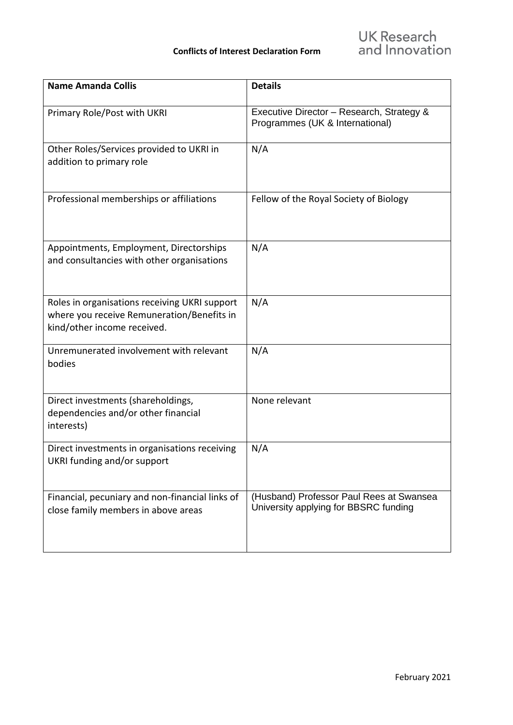| <b>Name Amanda Collis</b>                                                                                                  | <b>Details</b>                                                                    |
|----------------------------------------------------------------------------------------------------------------------------|-----------------------------------------------------------------------------------|
| Primary Role/Post with UKRI                                                                                                | Executive Director - Research, Strategy &<br>Programmes (UK & International)      |
| Other Roles/Services provided to UKRI in<br>addition to primary role                                                       | N/A                                                                               |
| Professional memberships or affiliations                                                                                   | Fellow of the Royal Society of Biology                                            |
| Appointments, Employment, Directorships<br>and consultancies with other organisations                                      | N/A                                                                               |
| Roles in organisations receiving UKRI support<br>where you receive Remuneration/Benefits in<br>kind/other income received. | N/A                                                                               |
| Unremunerated involvement with relevant<br>bodies                                                                          | N/A                                                                               |
| Direct investments (shareholdings,<br>dependencies and/or other financial<br>interests)                                    | None relevant                                                                     |
| Direct investments in organisations receiving<br>UKRI funding and/or support                                               | N/A                                                                               |
| Financial, pecuniary and non-financial links of<br>close family members in above areas                                     | (Husband) Professor Paul Rees at Swansea<br>University applying for BBSRC funding |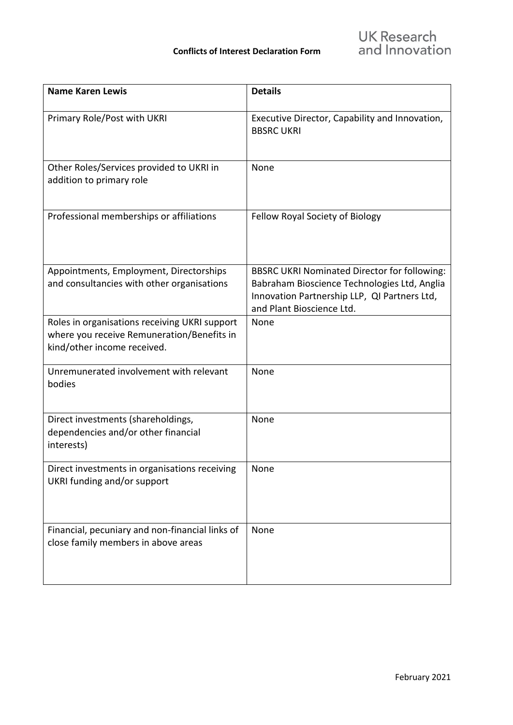| <b>Name Karen Lewis</b>                                                                                                    | <b>Details</b>                                                                                                                                                                   |
|----------------------------------------------------------------------------------------------------------------------------|----------------------------------------------------------------------------------------------------------------------------------------------------------------------------------|
| Primary Role/Post with UKRI                                                                                                | Executive Director, Capability and Innovation,<br><b>BBSRC UKRI</b>                                                                                                              |
| Other Roles/Services provided to UKRI in<br>addition to primary role                                                       | None                                                                                                                                                                             |
| Professional memberships or affiliations                                                                                   | Fellow Royal Society of Biology                                                                                                                                                  |
| Appointments, Employment, Directorships<br>and consultancies with other organisations                                      | <b>BBSRC UKRI Nominated Director for following:</b><br>Babraham Bioscience Technologies Ltd, Anglia<br>Innovation Partnership LLP, QI Partners Ltd,<br>and Plant Bioscience Ltd. |
| Roles in organisations receiving UKRI support<br>where you receive Remuneration/Benefits in<br>kind/other income received. | None                                                                                                                                                                             |
| Unremunerated involvement with relevant<br>bodies                                                                          | None                                                                                                                                                                             |
| Direct investments (shareholdings,<br>dependencies and/or other financial<br>interests)                                    | None                                                                                                                                                                             |
| Direct investments in organisations receiving<br>UKRI funding and/or support                                               | None                                                                                                                                                                             |
| Financial, pecuniary and non-financial links of<br>close family members in above areas                                     | None                                                                                                                                                                             |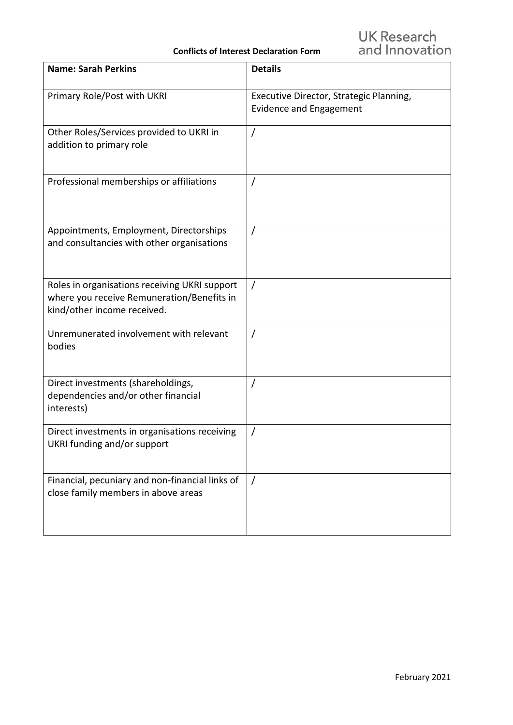## **Conflicts of Interest Declaration Form**

| <b>Name: Sarah Perkins</b>                                                                                                 | <b>Details</b>                                                            |
|----------------------------------------------------------------------------------------------------------------------------|---------------------------------------------------------------------------|
| Primary Role/Post with UKRI                                                                                                | Executive Director, Strategic Planning,<br><b>Evidence and Engagement</b> |
| Other Roles/Services provided to UKRI in<br>addition to primary role                                                       | $\prime$                                                                  |
| Professional memberships or affiliations                                                                                   | 7                                                                         |
| Appointments, Employment, Directorships<br>and consultancies with other organisations                                      | $\prime$                                                                  |
| Roles in organisations receiving UKRI support<br>where you receive Remuneration/Benefits in<br>kind/other income received. | 7                                                                         |
| Unremunerated involvement with relevant<br>bodies                                                                          | $\prime$                                                                  |
| Direct investments (shareholdings,<br>dependencies and/or other financial<br>interests)                                    | $\prime$                                                                  |
| Direct investments in organisations receiving<br>UKRI funding and/or support                                               |                                                                           |
| Financial, pecuniary and non-financial links of<br>close family members in above areas                                     | $\prime$                                                                  |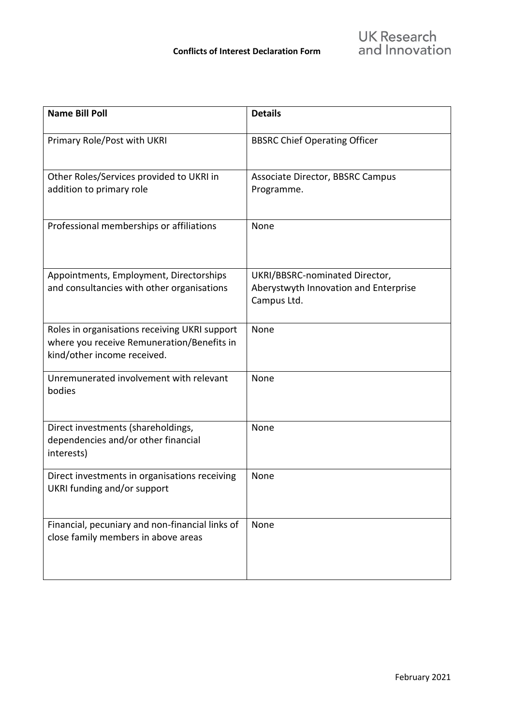| <b>Name Bill Poll</b>                                                                                                      | <b>Details</b>                                                                         |
|----------------------------------------------------------------------------------------------------------------------------|----------------------------------------------------------------------------------------|
| Primary Role/Post with UKRI                                                                                                | <b>BBSRC Chief Operating Officer</b>                                                   |
| Other Roles/Services provided to UKRI in<br>addition to primary role                                                       | Associate Director, BBSRC Campus<br>Programme.                                         |
| Professional memberships or affiliations                                                                                   | None                                                                                   |
| Appointments, Employment, Directorships<br>and consultancies with other organisations                                      | UKRI/BBSRC-nominated Director,<br>Aberystwyth Innovation and Enterprise<br>Campus Ltd. |
| Roles in organisations receiving UKRI support<br>where you receive Remuneration/Benefits in<br>kind/other income received. | None                                                                                   |
| Unremunerated involvement with relevant<br>bodies                                                                          | None                                                                                   |
| Direct investments (shareholdings,<br>dependencies and/or other financial<br>interests)                                    | None                                                                                   |
| Direct investments in organisations receiving<br>UKRI funding and/or support                                               | None                                                                                   |
| Financial, pecuniary and non-financial links of<br>close family members in above areas                                     | None                                                                                   |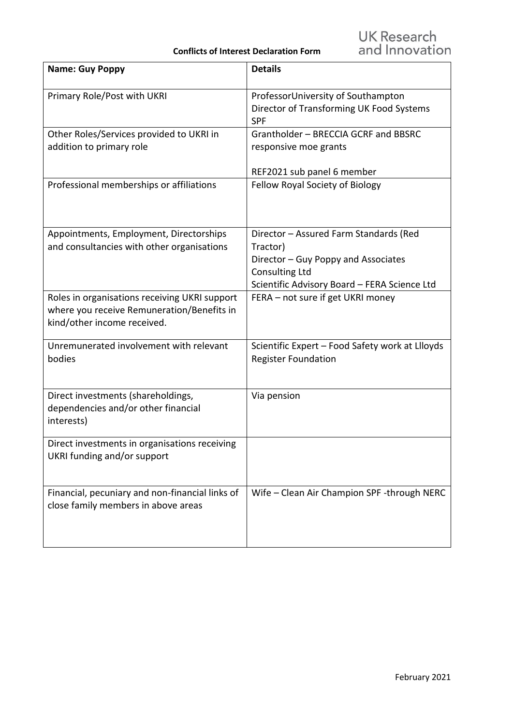| <b>Name: Guy Poppy</b>                                                                                                     | <b>Details</b>                                                                                                                                                     |
|----------------------------------------------------------------------------------------------------------------------------|--------------------------------------------------------------------------------------------------------------------------------------------------------------------|
| Primary Role/Post with UKRI                                                                                                | ProfessorUniversity of Southampton<br>Director of Transforming UK Food Systems<br><b>SPF</b>                                                                       |
| Other Roles/Services provided to UKRI in<br>addition to primary role                                                       | Grantholder - BRECCIA GCRF and BBSRC<br>responsive moe grants                                                                                                      |
| Professional memberships or affiliations                                                                                   | REF2021 sub panel 6 member<br>Fellow Royal Society of Biology                                                                                                      |
| Appointments, Employment, Directorships<br>and consultancies with other organisations                                      | Director - Assured Farm Standards (Red<br>Tractor)<br>Director - Guy Poppy and Associates<br><b>Consulting Ltd</b><br>Scientific Advisory Board - FERA Science Ltd |
| Roles in organisations receiving UKRI support<br>where you receive Remuneration/Benefits in<br>kind/other income received. | FERA - not sure if get UKRI money                                                                                                                                  |
| Unremunerated involvement with relevant<br>bodies                                                                          | Scientific Expert - Food Safety work at Llloyds<br><b>Register Foundation</b>                                                                                      |
| Direct investments (shareholdings,<br>dependencies and/or other financial<br>interests)                                    | Via pension                                                                                                                                                        |
| Direct investments in organisations receiving<br>UKRI funding and/or support                                               |                                                                                                                                                                    |
| Financial, pecuniary and non-financial links of<br>close family members in above areas                                     | Wife - Clean Air Champion SPF -through NERC                                                                                                                        |